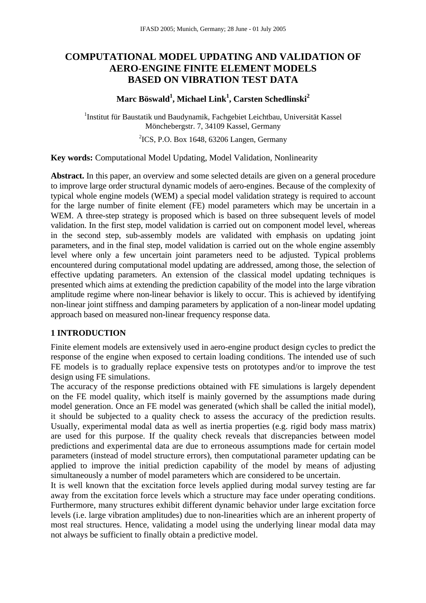# **COMPUTATIONAL MODEL UPDATING AND VALIDATION OF AERO-ENGINE FINITE ELEMENT MODELS BASED ON VIBRATION TEST DATA**

## $\mathbf{M}$ arc Böswald<sup>1</sup>, Michael Link<sup>1</sup>, Carsten Schedlinski $^2$

<sup>1</sup>Institut für Baustatik und Baudynamik, Fachgebiet Leichtbau, Universität Kassel Mönchebergstr. 7, 34109 Kassel, Germany

<sup>2</sup>ICS, P.O. Box 1648, 63206 Langen, Germany

**Key words:** Computational Model Updating, Model Validation, Nonlinearity

**Abstract.** In this paper, an overview and some selected details are given on a general procedure to improve large order structural dynamic models of aero-engines. Because of the complexity of typical whole engine models (WEM) a special model validation strategy is required to account for the large number of finite element (FE) model parameters which may be uncertain in a WEM. A three-step strategy is proposed which is based on three subsequent levels of model validation. In the first step, model validation is carried out on component model level, whereas in the second step, sub-assembly models are validated with emphasis on updating joint parameters, and in the final step, model validation is carried out on the whole engine assembly level where only a few uncertain joint parameters need to be adjusted. Typical problems encountered during computational model updating are addressed, among those, the selection of effective updating parameters. An extension of the classical model updating techniques is presented which aims at extending the prediction capability of the model into the large vibration amplitude regime where non-linear behavior is likely to occur. This is achieved by identifying non-linear joint stiffness and damping parameters by application of a non-linear model updating approach based on measured non-linear frequency response data.

### **1 INTRODUCTION**

Finite element models are extensively used in aero-engine product design cycles to predict the response of the engine when exposed to certain loading conditions. The intended use of such FE models is to gradually replace expensive tests on prototypes and/or to improve the test design using FE simulations.

The accuracy of the response predictions obtained with FE simulations is largely dependent on the FE model quality, which itself is mainly governed by the assumptions made during model generation. Once an FE model was generated (which shall be called the initial model), it should be subjected to a quality check to assess the accuracy of the prediction results. Usually, experimental modal data as well as inertia properties (e.g. rigid body mass matrix) are used for this purpose. If the quality check reveals that discrepancies between model predictions and experimental data are due to erroneous assumptions made for certain model parameters (instead of model structure errors), then computational parameter updating can be applied to improve the initial prediction capability of the model by means of adjusting simultaneously a number of model parameters which are considered to be uncertain.

It is well known that the excitation force levels applied during modal survey testing are far away from the excitation force levels which a structure may face under operating conditions. Furthermore, many structures exhibit different dynamic behavior under large excitation force levels (i.e. large vibration amplitudes) due to non-linearities which are an inherent property of most real structures. Hence, validating a model using the underlying linear modal data may not always be sufficient to finally obtain a predictive model.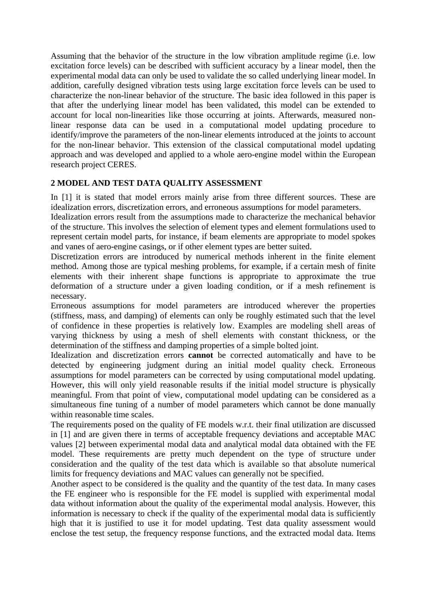Assuming that the behavior of the structure in the low vibration amplitude regime (i.e. low excitation force levels) can be described with sufficient accuracy by a linear model, then the experimental modal data can only be used to validate the so called underlying linear model. In addition, carefully designed vibration tests using large excitation force levels can be used to characterize the non-linear behavior of the structure. The basic idea followed in this paper is that after the underlying linear model has been validated, this model can be extended to account for local non-linearities like those occurring at joints. Afterwards, measured nonlinear response data can be used in a computational model updating procedure to identify/improve the parameters of the non-linear elements introduced at the joints to account for the non-linear behavior. This extension of the classical computational model updating approach and was developed and applied to a whole aero-engine model within the European research project CERES.

## **2 MODEL AND TEST DATA QUALITY ASSESSMENT**

In [1] it is stated that model errors mainly arise from three different sources. These are idealization errors, discretization errors, and erroneous assumptions for model parameters.

Idealization errors result from the assumptions made to characterize the mechanical behavior of the structure. This involves the selection of element types and element formulations used to represent certain model parts, for instance, if beam elements are appropriate to model spokes and vanes of aero-engine casings, or if other element types are better suited.

Discretization errors are introduced by numerical methods inherent in the finite element method. Among those are typical meshing problems, for example, if a certain mesh of finite elements with their inherent shape functions is appropriate to approximate the true deformation of a structure under a given loading condition, or if a mesh refinement is necessary.

Erroneous assumptions for model parameters are introduced wherever the properties (stiffness, mass, and damping) of elements can only be roughly estimated such that the level of confidence in these properties is relatively low. Examples are modeling shell areas of varying thickness by using a mesh of shell elements with constant thickness, or the determination of the stiffness and damping properties of a simple bolted joint.

Idealization and discretization errors **cannot** be corrected automatically and have to be detected by engineering judgment during an initial model quality check. Erroneous assumptions for model parameters can be corrected by using computational model updating. However, this will only yield reasonable results if the initial model structure is physically meaningful. From that point of view, computational model updating can be considered as a simultaneous fine tuning of a number of model parameters which cannot be done manually within reasonable time scales.

The requirements posed on the quality of FE models w.r.t. their final utilization are discussed in [1] and are given there in terms of acceptable frequency deviations and acceptable MAC values [2] between experimental modal data and analytical modal data obtained with the FE model. These requirements are pretty much dependent on the type of structure under consideration and the quality of the test data which is available so that absolute numerical limits for frequency deviations and MAC values can generally not be specified.

Another aspect to be considered is the quality and the quantity of the test data. In many cases the FE engineer who is responsible for the FE model is supplied with experimental modal data without information about the quality of the experimental modal analysis. However, this information is necessary to check if the quality of the experimental modal data is sufficiently high that it is justified to use it for model updating. Test data quality assessment would enclose the test setup, the frequency response functions, and the extracted modal data. Items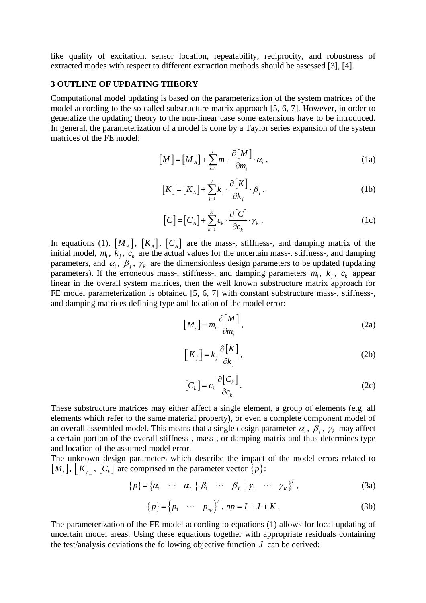like quality of excitation, sensor location, repeatability, reciprocity, and robustness of extracted modes with respect to different extraction methods should be assessed [3], [4].

#### **3 OUTLINE OF UPDATING THEORY**

Computational model updating is based on the parameterization of the system matrices of the model according to the so called substructure matrix approach [5, 6, 7]. However, in order to generalize the updating theory to the non-linear case some extensions have to be introduced. In general, the parameterization of a model is done by a Taylor series expansion of the system matrices of the FE model:

$$
[M] = [M_A] + \sum_{i=1}^{I} m_i \cdot \frac{\partial [M]}{\partial m_i} \cdot \alpha_i , \qquad (1a)
$$

$$
[K] = [K_A] + \sum_{j=1}^{J} k_j \cdot \frac{\partial [K]}{\partial k_j} \cdot \beta_j,
$$
 (1b)

$$
[C] = [C_A] + \sum_{k=1}^{K} c_k \cdot \frac{\partial [C]}{\partial c_k} \cdot \gamma_k .
$$
 (1c)

In equations (1),  $[M_A]$ ,  $[K_A]$ ,  $[C_A]$  are the mass-, stiffness-, and damping matrix of the initial model,  $m_i$ ,  $\bar{k}_j$ ,  $c_k$  are the actual values for the uncertain mass-, stiffness-, and damping parameters, and  $\alpha_i$ ,  $\beta_j$ ,  $\gamma_k$  are the dimensionless design parameters to be updated (updating parameters). If the erroneous mass-, stiffness-, and damping parameters  $m_i$ ,  $k_j$ ,  $c_k$  appear linear in the overall system matrices, then the well known substructure matrix approach for FE model parameterization is obtained [5, 6, 7] with constant substructure mass-, stiffness-, and damping matrices defining type and location of the model error:

$$
[M_i] = m_i \frac{\partial [M]}{\partial m_i},
$$
 (2a)

$$
\left[K_j\right] = k_j \frac{\partial [K]}{\partial k_j},\tag{2b}
$$

$$
\left[C_{k}\right] = c_{k} \frac{\partial \left[C_{k}\right]}{\partial c_{k}}.
$$
 (2c)

These substructure matrices may either affect a single element, a group of elements (e.g. all elements which refer to the same material property), or even a complete component model of an overall assembled model. This means that a single design parameter  $\alpha_i$ ,  $\beta_j$ ,  $\gamma_k$  may affect a certain portion of the overall stiffness-, mass-, or damping matrix and thus determines type and location of the assumed model error.

The unknown design parameters which describe the impact of the model errors related to  $[M_i]$ ,  $[K_j]$ ,  $[C_k]$  are comprised in the parameter vector  $\{p\}$ :

$$
\{p\} = \{\alpha_1 \quad \cdots \quad \alpha_l \mid \beta_1 \quad \cdots \quad \beta_J \mid \gamma_1 \quad \cdots \quad \gamma_K\}^T,
$$
 (3a)

$$
\{p\} = \{p_1 \quad \cdots \quad p_{np}\}^T, \ np = I + J + K. \tag{3b}
$$

The parameterization of the FE model according to equations (1) allows for local updating of uncertain model areas. Using these equations together with appropriate residuals containing the test/analysis deviations the following objective function *J* can be derived: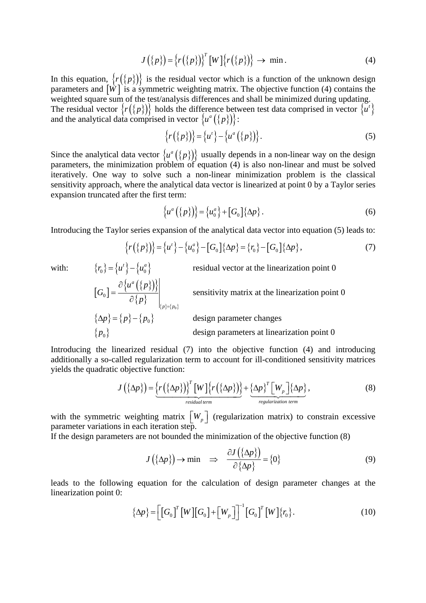$$
J(\{p\}) = \left\{r(\{p\})\right\}^T [W] \left\{r(\{p\})\right\} \to \min. \tag{4}
$$

In this equation,  $\{r(\{p\})\}$  is the residual vector which is a function of the unknown design parameters and  $\left[\hat{W}\right]$  is a symmetric weighting matrix. The objective function (4) contains the weighted square sum of the test/analysis differences and shall be minimized during updating. The residual vector  $\{r(\{p\})\}$  holds the difference between test data comprised in vector  $\{u^i\}$ and the analytical data comprised in vector  $\{u^a(\{p\})\}$ :

$$
\{r(\{p\})\} = \{u^t\} - \{u^a(\{p\})\}.
$$
 (5)

Since the analytical data vector  $\{u^a(\{p\})\}$  usually depends in a non-linear way on the design parameters, the minimization problem of equation (4) is also non-linear and must be solved iteratively. One way to solve such a non-linear minimization problem is the classical sensitivity approach, where the analytical data vector is linearized at point 0 by a Taylor series expansion truncated after the first term:

$$
\left\{u^a\left(\left\{p\right\}\right)\right\} = \left\{u^a_0\right\} + \left[G_0\right]\left\{\Delta p\right\}.
$$
 (6)

Introducing the Taylor series expansion of the analytical data vector into equation (5) leads to:

$$
\{r(\{p\})\} = \{u^i\} - \{u_0^a\} - [G_0]\{\Delta p\} = \{r_0\} - [G_0]\{\Delta p\},\tag{7}
$$

with:  ${r_0} = {u' } - {u_0^a}$  residual vector at the linearization point 0

$$
[G_0] = \frac{\partial \{u^a(\{p\})\}}{\partial \{p\}}\Big|_{\{p\}=\{p_0\}}
$$
 sensitivity matrix at the linearization point 0  

$$
\{\Delta p\} = \{p\} - \{p_0\}
$$
design parameter changes  

$$
\{p_0\}
$$
design parameters at linearization point 0

Introducing the linearized residual (7) into the objective function (4) and introducing additionally a so-called regularization term to account for ill-conditioned sensitivity matrices yields the quadratic objective function:

$$
J\left(\{\Delta p\}\right) = \underbrace{\left\{r\left(\{\Delta p\}\right)\right\}^T \left[W\right] \left\{r\left(\{\Delta p\}\right)\right\}}_{\text{residual term}} + \underbrace{\left\{\Delta p\right\}^T \left[W_p\right] \left\{\Delta p\right\}}_{\text{regularization term}},\tag{8}
$$

with the symmetric weighting matrix  $\begin{bmatrix} W_p \end{bmatrix}$  (regularization matrix) to constrain excessive parameter variations in each iteration step.

If the design parameters are not bounded the minimization of the objective function (8)

$$
J(\{\Delta p\}) \to \min \quad \Rightarrow \quad \frac{\partial J(\{\Delta p\})}{\partial \{\Delta p\}} = \{0\} \tag{9}
$$

leads to the following equation for the calculation of design parameter changes at the linearization point 0:

$$
\{\Delta p\} = \left[\left[G_0\right]^T \left[W\right]\left[G_0\right] + \left[W_p\right]\right]^{-1} \left[G_0\right]^T \left[W\right] \{r_0\}.
$$
\n(10)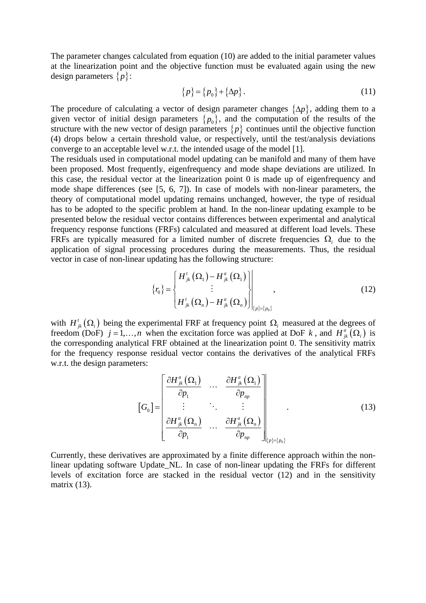The parameter changes calculated from equation (10) are added to the initial parameter values at the linearization point and the objective function must be evaluated again using the new design parameters {*p*}:

$$
\{p\} = \{p_0\} + \{\Delta p\}.
$$
 (11)

The procedure of calculating a vector of design parameter changes  $\{\Delta p\}$ , adding them to a given vector of initial design parameters  $\{p_0\}$ , and the computation of the results of the structure with the new vector of design parameters  $\{p\}$  continues until the objective function (4) drops below a certain threshold value, or respectively, until the test/analysis deviations converge to an acceptable level w.r.t. the intended usage of the model [1].

The residuals used in computational model updating can be manifold and many of them have been proposed. Most frequently, eigenfrequency and mode shape deviations are utilized. In this case, the residual vector at the linearization point 0 is made up of eigenfrequency and mode shape differences (see [5, 6, 7]). In case of models with non-linear parameters, the theory of computational model updating remains unchanged, however, the type of residual has to be adopted to the specific problem at hand. In the non-linear updating example to be presented below the residual vector contains differences between experimental and analytical frequency response functions (FRFs) calculated and measured at different load levels. These FRFs are typically measured for a limited number of discrete frequencies  $\Omega_i$  due to the application of signal processing procedures during the measurements. Thus, the residual vector in case of non-linear updating has the following structure:

$$
\{r_0\} = \begin{cases} H^t_{jk} (\Omega_1) - H^a_{jk} (\Omega_1) \\ \vdots \\ H^t_{jk} (\Omega_n) - H^a_{jk} (\Omega_n) \end{cases},
$$
\n(12)

with  $H^i_{jk}(\Omega_i)$  being the experimental FRF at frequency point  $\Omega_i$  measured at the degrees of freedom (DoF)  $j = 1, ..., n$  when the excitation force was applied at DoF k, and  $H_{ik}^a(\Omega_i)$  is the corresponding analytical FRF obtained at the linearization point 0. The sensitivity matrix for the frequency response residual vector contains the derivatives of the analytical FRFs w.r.t. the design parameters:

$$
\begin{bmatrix}\nG_0\n\end{bmatrix} = \begin{bmatrix}\n\frac{\partial H_{jk}^a(\Omega_1)}{\partial p_1} & \cdots & \frac{\partial H_{jk}^a(\Omega_1)}{\partial p_{np}} \\
\vdots & \ddots & \vdots \\
\frac{\partial H_{jk}^a(\Omega_n)}{\partial p_1} & \cdots & \frac{\partial H_{jk}^a(\Omega_n)}{\partial p_{np}}\n\end{bmatrix}_{\{p\}=\{p_0\}}
$$
\n(13)

Currently, these derivatives are approximated by a finite difference approach within the nonlinear updating software Update\_NL. In case of non-linear updating the FRFs for different levels of excitation force are stacked in the residual vector (12) and in the sensitivity matrix (13).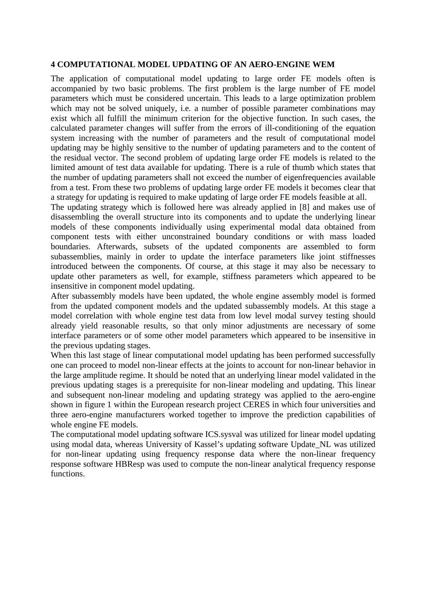#### **4 COMPUTATIONAL MODEL UPDATING OF AN AERO-ENGINE WEM**

The application of computational model updating to large order FE models often is accompanied by two basic problems. The first problem is the large number of FE model parameters which must be considered uncertain. This leads to a large optimization problem which may not be solved uniquely, i.e. a number of possible parameter combinations may exist which all fulfill the minimum criterion for the objective function. In such cases, the calculated parameter changes will suffer from the errors of ill-conditioning of the equation system increasing with the number of parameters and the result of computational model updating may be highly sensitive to the number of updating parameters and to the content of the residual vector. The second problem of updating large order FE models is related to the limited amount of test data available for updating. There is a rule of thumb which states that the number of updating parameters shall not exceed the number of eigenfrequencies available from a test. From these two problems of updating large order FE models it becomes clear that a strategy for updating is required to make updating of large order FE models feasible at all.

The updating strategy which is followed here was already applied in [8] and makes use of disassembling the overall structure into its components and to update the underlying linear models of these components individually using experimental modal data obtained from component tests with either unconstrained boundary conditions or with mass loaded boundaries. Afterwards, subsets of the updated components are assembled to form subassemblies, mainly in order to update the interface parameters like joint stiffnesses introduced between the components. Of course, at this stage it may also be necessary to update other parameters as well, for example, stiffness parameters which appeared to be insensitive in component model updating.

After subassembly models have been updated, the whole engine assembly model is formed from the updated component models and the updated subassembly models. At this stage a model correlation with whole engine test data from low level modal survey testing should already yield reasonable results, so that only minor adjustments are necessary of some interface parameters or of some other model parameters which appeared to be insensitive in the previous updating stages.

When this last stage of linear computational model updating has been performed successfully one can proceed to model non-linear effects at the joints to account for non-linear behavior in the large amplitude regime. It should be noted that an underlying linear model validated in the previous updating stages is a prerequisite for non-linear modeling and updating. This linear and subsequent non-linear modeling and updating strategy was applied to the aero-engine shown in figure 1 within the European research project CERES in which four universities and three aero-engine manufacturers worked together to improve the prediction capabilities of whole engine FE models.

The computational model updating software ICS.sysval was utilized for linear model updating using modal data, whereas University of Kassel's updating software Update\_NL was utilized for non-linear updating using frequency response data where the non-linear frequency response software HBResp was used to compute the non-linear analytical frequency response functions.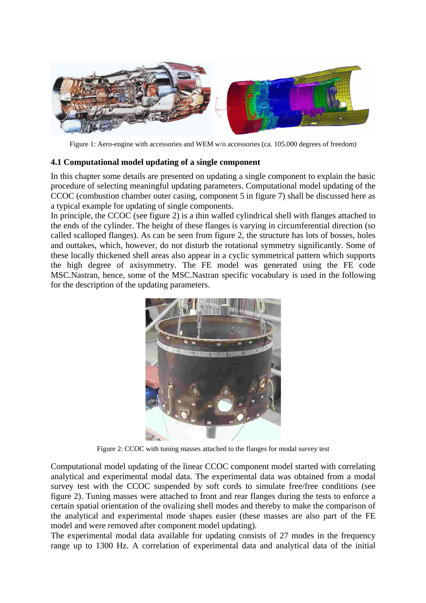

Figure 1: Aero-engine with accessories and WEM w/o accessories (ca. 105.000 degrees of freedom)

## **4.1 Computational model updating of a single component**

In this chapter some details are presented on updating a single component to explain the basic procedure of selecting meaningful updating parameters. Computational model updating of the CCOC (combustion chamber outer casing, component 5 in figure 7) shall be discussed here as a typical example for updating of single components.

In principle, the CCOC (see figure 2) is a thin walled cylindrical shell with flanges attached to the ends of the cylinder. The height of these flanges is varying in circumferential direction (so called scalloped flanges). As can be seen from figure 2, the structure has lots of bosses, holes and outtakes, which, however, do not disturb the rotational symmetry significantly. Some of these locally thickened shell areas also appear in a cyclic symmetrical pattern which supports the high degree of axisymmetry. The FE model was generated using the FE code MSC.Nastran, hence, some of the MSC.Nastran specific vocabulary is used in the following for the description of the updating parameters.



Figure 2: CCOC with tuning masses attached to the flanges for modal survey test

Computational model updating of the linear CCOC component model started with correlating analytical and experimental modal data. The experimental data was obtained from a modal survey test with the CCOC suspended by soft cords to simulate free/free conditions (see figure 2). Tuning masses were attached to front and rear flanges during the tests to enforce a certain spatial orientation of the ovalizing shell modes and thereby to make the comparison of the analytical and experimental mode shapes easier (these masses are also part of the FE model and were removed after component model updating).

The experimental modal data available for updating consists of 27 modes in the frequency range up to 1300 Hz. A correlation of experimental data and analytical data of the initial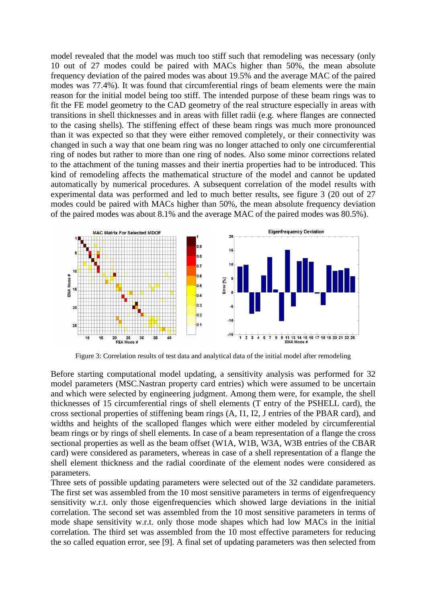model revealed that the model was much too stiff such that remodeling was necessary (only 10 out of 27 modes could be paired with MACs higher than 50%, the mean absolute frequency deviation of the paired modes was about 19.5% and the average MAC of the paired modes was 77.4%). It was found that circumferential rings of beam elements were the main reason for the initial model being too stiff. The intended purpose of these beam rings was to fit the FE model geometry to the CAD geometry of the real structure especially in areas with transitions in shell thicknesses and in areas with fillet radii (e.g. where flanges are connected to the casing shells). The stiffening effect of these beam rings was much more pronounced than it was expected so that they were either removed completely, or their connectivity was changed in such a way that one beam ring was no longer attached to only one circumferential ring of nodes but rather to more than one ring of nodes. Also some minor corrections related to the attachment of the tuning masses and their inertia properties had to be introduced. This kind of remodeling affects the mathematical structure of the model and cannot be updated automatically by numerical procedures. A subsequent correlation of the model results with experimental data was performed and led to much better results, see figure 3 (20 out of 27 modes could be paired with MACs higher than 50%, the mean absolute frequency deviation of the paired modes was about 8.1% and the average MAC of the paired modes was 80.5%).



Figure 3: Correlation results of test data and analytical data of the initial model after remodeling

Before starting computational model updating, a sensitivity analysis was performed for 32 model parameters (MSC.Nastran property card entries) which were assumed to be uncertain and which were selected by engineering judgment. Among them were, for example, the shell thicknesses of 15 circumferential rings of shell elements (T entry of the PSHELL card), the cross sectional properties of stiffening beam rings (A, I1, I2, J entries of the PBAR card), and widths and heights of the scalloped flanges which were either modeled by circumferential beam rings or by rings of shell elements. In case of a beam representation of a flange the cross sectional properties as well as the beam offset (W1A, W1B, W3A, W3B entries of the CBAR card) were considered as parameters, whereas in case of a shell representation of a flange the shell element thickness and the radial coordinate of the element nodes were considered as parameters.

Three sets of possible updating parameters were selected out of the 32 candidate parameters. The first set was assembled from the 10 most sensitive parameters in terms of eigenfrequency sensitivity w.r.t. only those eigenfrequencies which showed large deviations in the initial correlation. The second set was assembled from the 10 most sensitive parameters in terms of mode shape sensitivity w.r.t. only those mode shapes which had low MACs in the initial correlation. The third set was assembled from the 10 most effective parameters for reducing the so called equation error, see [9]. A final set of updating parameters was then selected from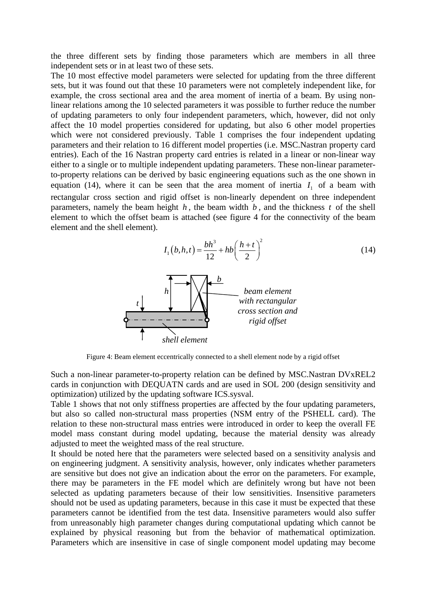the three different sets by finding those parameters which are members in all three independent sets or in at least two of these sets.

The 10 most effective model parameters were selected for updating from the three different sets, but it was found out that these 10 parameters were not completely independent like, for example, the cross sectional area and the area moment of inertia of a beam. By using nonlinear relations among the 10 selected parameters it was possible to further reduce the number of updating parameters to only four independent parameters, which, however, did not only affect the 10 model properties considered for updating, but also 6 other model properties which were not considered previously. Table 1 comprises the four independent updating parameters and their relation to 16 different model properties (i.e. MSC.Nastran property card entries). Each of the 16 Nastran property card entries is related in a linear or non-linear way either to a single or to multiple independent updating parameters. These non-linear parameterto-property relations can be derived by basic engineering equations such as the one shown in equation (14), where it can be seen that the area moment of inertia  $I_1$  of a beam with rectangular cross section and rigid offset is non-linearly dependent on three independent parameters, namely the beam height  $h$ , the beam width  $b$ , and the thickness  $t$  of the shell element to which the offset beam is attached (see figure 4 for the connectivity of the beam element and the shell element).

$$
I_1(b, h, t) = \frac{bh^3}{12} + hb \left(\frac{h+t}{2}\right)^2
$$
 (14)



Figure 4: Beam element eccentrically connected to a shell element node by a rigid offset

Such a non-linear parameter-to-property relation can be defined by MSC.Nastran DVxREL2 cards in conjunction with DEQUATN cards and are used in SOL 200 (design sensitivity and optimization) utilized by the updating software ICS.sysval.

Table 1 shows that not only stiffness properties are affected by the four updating parameters, but also so called non-structural mass properties (NSM entry of the PSHELL card). The relation to these non-structural mass entries were introduced in order to keep the overall FE model mass constant during model updating, because the material density was already adjusted to meet the weighted mass of the real structure.

It should be noted here that the parameters were selected based on a sensitivity analysis and on engineering judgment. A sensitivity analysis, however, only indicates whether parameters are sensitive but does not give an indication about the error on the parameters. For example, there may be parameters in the FE model which are definitely wrong but have not been selected as updating parameters because of their low sensitivities. Insensitive parameters should not be used as updating parameters, because in this case it must be expected that these parameters cannot be identified from the test data. Insensitive parameters would also suffer from unreasonably high parameter changes during computational updating which cannot be explained by physical reasoning but from the behavior of mathematical optimization. Parameters which are insensitive in case of single component model updating may become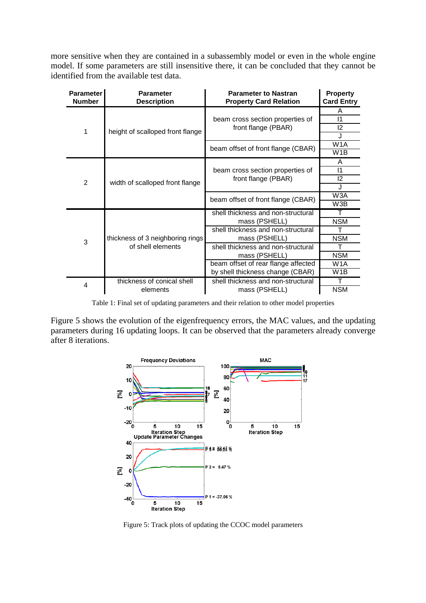more sensitive when they are contained in a subassembly model or even in the whole engine model. If some parameters are still insensitive there, it can be concluded that they cannot be identified from the available test data.

| <b>Parameter</b><br><b>Number</b> | <b>Parameter</b><br><b>Description</b>                | <b>Parameter to Nastran</b><br><b>Property Card Relation</b>            | <b>Property</b><br><b>Card Entry</b> |
|-----------------------------------|-------------------------------------------------------|-------------------------------------------------------------------------|--------------------------------------|
| 1                                 | height of scalloped front flange                      | beam cross section properties of<br>front flange (PBAR)                 | A<br>$\mathsf{I}$<br>12              |
|                                   |                                                       | beam offset of front flange (CBAR)                                      | W <sub>1</sub> A<br>W <sub>1</sub> B |
| 2                                 | width of scalloped front flange                       | beam cross section properties of<br>front flange (PBAR)                 | A<br>$\mathsf{I}$<br>12<br>J         |
|                                   |                                                       | beam offset of front flange (CBAR)                                      | W3A<br>W3B                           |
| 3                                 | thickness of 3 neighboring rings<br>of shell elements | shell thickness and non-structural<br>mass (PSHELL)                     | <b>NSM</b>                           |
|                                   |                                                       | shell thickness and non-structural<br>mass (PSHELL)                     | <b>NSM</b>                           |
|                                   |                                                       | shell thickness and non-structural<br>mass (PSHELL)                     | т<br><b>NSM</b>                      |
|                                   |                                                       | beam offset of rear flange affected<br>by shell thickness change (CBAR) | W <sub>1</sub> A<br>W1B              |
| 4                                 | thickness of conical shell<br>elements                | shell thickness and non-structural<br>mass (PSHELL)                     | т<br><b>NSM</b>                      |

Table 1: Final set of updating parameters and their relation to other model properties

Figure 5 shows the evolution of the eigenfrequency errors, the MAC values, and the updating parameters during 16 updating loops. It can be observed that the parameters already converge after 8 iterations.



Figure 5: Track plots of updating the CCOC model parameters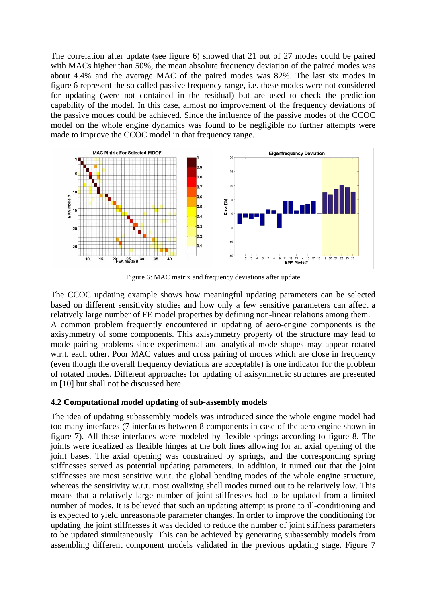The correlation after update (see figure 6) showed that 21 out of 27 modes could be paired with MACs higher than 50%, the mean absolute frequency deviation of the paired modes was about 4.4% and the average MAC of the paired modes was 82%. The last six modes in figure 6 represent the so called passive frequency range, i.e. these modes were not considered for updating (were not contained in the residual) but are used to check the prediction capability of the model. In this case, almost no improvement of the frequency deviations of the passive modes could be achieved. Since the influence of the passive modes of the CCOC model on the whole engine dynamics was found to be negligible no further attempts were made to improve the CCOC model in that frequency range.



Figure 6: MAC matrix and frequency deviations after update

The CCOC updating example shows how meaningful updating parameters can be selected based on different sensitivity studies and how only a few sensitive parameters can affect a relatively large number of FE model properties by defining non-linear relations among them. A common problem frequently encountered in updating of aero-engine components is the axisymmetry of some components. This axisymmetry property of the structure may lead to mode pairing problems since experimental and analytical mode shapes may appear rotated w.r.t. each other. Poor MAC values and cross pairing of modes which are close in frequency (even though the overall frequency deviations are acceptable) is one indicator for the problem of rotated modes. Different approaches for updating of axisymmetric structures are presented in [10] but shall not be discussed here.

#### **4.2 Computational model updating of sub-assembly models**

The idea of updating subassembly models was introduced since the whole engine model had too many interfaces (7 interfaces between 8 components in case of the aero-engine shown in figure 7). All these interfaces were modeled by flexible springs according to figure 8. The joints were idealized as flexible hinges at the bolt lines allowing for an axial opening of the joint bases. The axial opening was constrained by springs, and the corresponding spring stiffnesses served as potential updating parameters. In addition, it turned out that the joint stiffnesses are most sensitive w.r.t. the global bending modes of the whole engine structure, whereas the sensitivity w.r.t. most ovalizing shell modes turned out to be relatively low. This means that a relatively large number of joint stiffnesses had to be updated from a limited number of modes. It is believed that such an updating attempt is prone to ill-conditioning and is expected to yield unreasonable parameter changes. In order to improve the conditioning for updating the joint stiffnesses it was decided to reduce the number of joint stiffness parameters to be updated simultaneously. This can be achieved by generating subassembly models from assembling different component models validated in the previous updating stage. Figure 7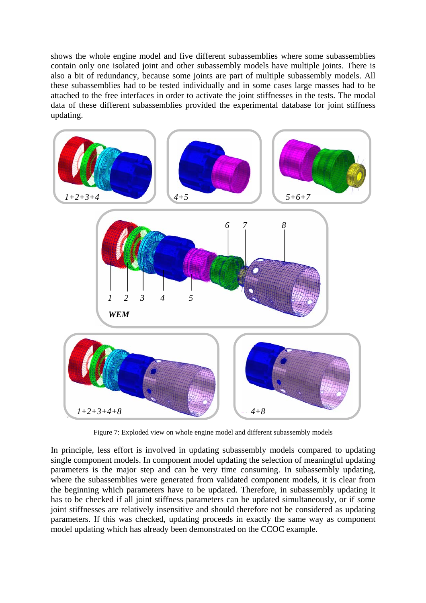shows the whole engine model and five different subassemblies where some subassemblies contain only one isolated joint and other subassembly models have multiple joints. There is also a bit of redundancy, because some joints are part of multiple subassembly models. All these subassemblies had to be tested individually and in some cases large masses had to be attached to the free interfaces in order to activate the joint stiffnesses in the tests. The modal data of these different subassemblies provided the experimental database for joint stiffness updating.



Figure 7: Exploded view on whole engine model and different subassembly models

In principle, less effort is involved in updating subassembly models compared to updating single component models. In component model updating the selection of meaningful updating parameters is the major step and can be very time consuming. In subassembly updating, where the subassemblies were generated from validated component models, it is clear from the beginning which parameters have to be updated. Therefore, in subassembly updating it has to be checked if all joint stiffness parameters can be updated simultaneously, or if some joint stiffnesses are relatively insensitive and should therefore not be considered as updating parameters. If this was checked, updating proceeds in exactly the same way as component model updating which has already been demonstrated on the CCOC example.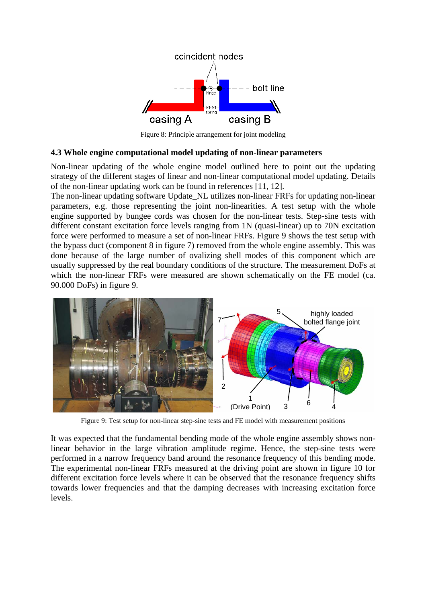

Figure 8: Principle arrangement for joint modeling

#### **4.3 Whole engine computational model updating of non-linear parameters**

Non-linear updating of the whole engine model outlined here to point out the updating strategy of the different stages of linear and non-linear computational model updating. Details of the non-linear updating work can be found in references [11, 12].

The non-linear updating software Update NL utilizes non-linear FRFs for updating non-linear parameters, e.g. those representing the joint non-linearities. A test setup with the whole engine supported by bungee cords was chosen for the non-linear tests. Step-sine tests with different constant excitation force levels ranging from 1N (quasi-linear) up to 70N excitation force were performed to measure a set of non-linear FRFs. Figure 9 shows the test setup with the bypass duct (component 8 in figure 7) removed from the whole engine assembly. This was done because of the large number of ovalizing shell modes of this component which are usually suppressed by the real boundary conditions of the structure. The measurement DoFs at which the non-linear FRFs were measured are shown schematically on the FE model (ca. 90.000 DoFs) in figure 9.



Figure 9: Test setup for non-linear step-sine tests and FE model with measurement positions

It was expected that the fundamental bending mode of the whole engine assembly shows nonlinear behavior in the large vibration amplitude regime. Hence, the step-sine tests were performed in a narrow frequency band around the resonance frequency of this bending mode. The experimental non-linear FRFs measured at the driving point are shown in figure 10 for different excitation force levels where it can be observed that the resonance frequency shifts towards lower frequencies and that the damping decreases with increasing excitation force levels.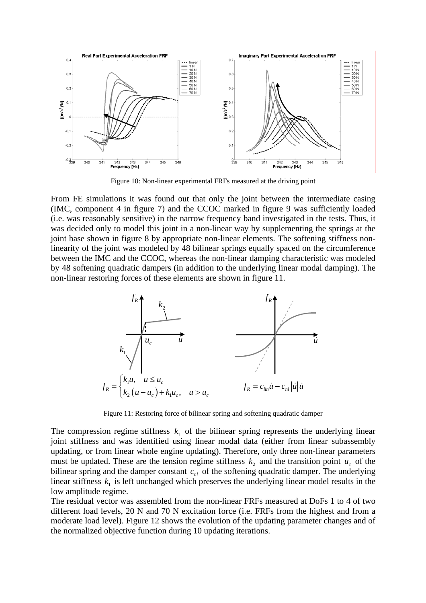

Figure 10: Non-linear experimental FRFs measured at the driving point

From FE simulations it was found out that only the joint between the intermediate casing (IMC, component 4 in figure 7) and the CCOC marked in figure 9 was sufficiently loaded (i.e. was reasonably sensitive) in the narrow frequency band investigated in the tests. Thus, it was decided only to model this joint in a non-linear way by supplementing the springs at the joint base shown in figure 8 by appropriate non-linear elements. The softening stiffness nonlinearity of the joint was modeled by 48 bilinear springs equally spaced on the circumference between the IMC and the CCOC, whereas the non-linear damping characteristic was modeled by 48 softening quadratic dampers (in addition to the underlying linear modal damping). The non-linear restoring forces of these elements are shown in figure 11.



Figure 11: Restoring force of bilinear spring and softening quadratic damper

The compression regime stiffness  $k_1$  of the bilinear spring represents the underlying linear joint stiffness and was identified using linear modal data (either from linear subassembly updating, or from linear whole engine updating). Therefore, only three non-linear parameters must be updated. These are the tension regime stiffness  $k_2$  and the transition point  $u_c$  of the bilinear spring and the damper constant  $c_{nl}$  of the softening quadratic damper. The underlying linear stiffness  $k_1$  is left unchanged which preserves the underlying linear model results in the low amplitude regime.

The residual vector was assembled from the non-linear FRFs measured at DoFs 1 to 4 of two different load levels, 20 N and 70 N excitation force (i.e. FRFs from the highest and from a moderate load level). Figure 12 shows the evolution of the updating parameter changes and of the normalized objective function during 10 updating iterations.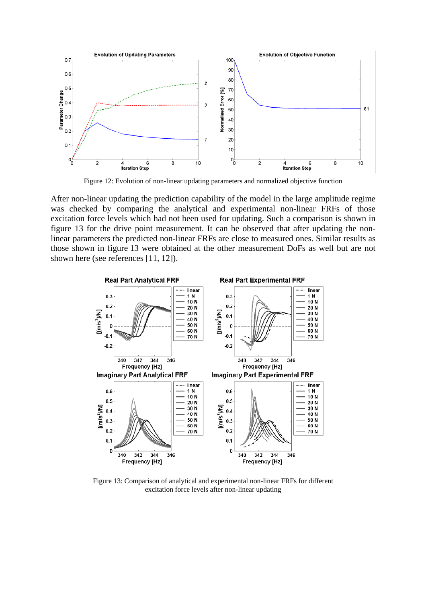

Figure 12: Evolution of non-linear updating parameters and normalized objective function

After non-linear updating the prediction capability of the model in the large amplitude regime was checked by comparing the analytical and experimental non-linear FRFs of those excitation force levels which had not been used for updating. Such a comparison is shown in figure 13 for the drive point measurement. It can be observed that after updating the nonlinear parameters the predicted non-linear FRFs are close to measured ones. Similar results as those shown in figure 13 were obtained at the other measurement DoFs as well but are not shown here (see references [11, 12]).



Figure 13: Comparison of analytical and experimental non-linear FRFs for different excitation force levels after non-linear updating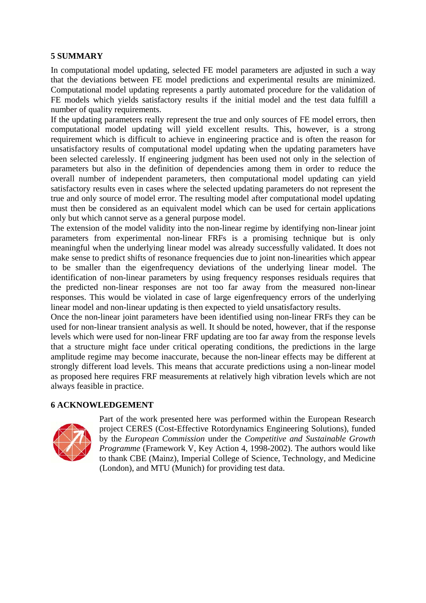### **5 SUMMARY**

In computational model updating, selected FE model parameters are adjusted in such a way that the deviations between FE model predictions and experimental results are minimized. Computational model updating represents a partly automated procedure for the validation of FE models which yields satisfactory results if the initial model and the test data fulfill a number of quality requirements.

If the updating parameters really represent the true and only sources of FE model errors, then computational model updating will yield excellent results. This, however, is a strong requirement which is difficult to achieve in engineering practice and is often the reason for unsatisfactory results of computational model updating when the updating parameters have been selected carelessly. If engineering judgment has been used not only in the selection of parameters but also in the definition of dependencies among them in order to reduce the overall number of independent parameters, then computational model updating can yield satisfactory results even in cases where the selected updating parameters do not represent the true and only source of model error. The resulting model after computational model updating must then be considered as an equivalent model which can be used for certain applications only but which cannot serve as a general purpose model.

The extension of the model validity into the non-linear regime by identifying non-linear joint parameters from experimental non-linear FRFs is a promising technique but is only meaningful when the underlying linear model was already successfully validated. It does not make sense to predict shifts of resonance frequencies due to joint non-linearities which appear to be smaller than the eigenfrequency deviations of the underlying linear model. The identification of non-linear parameters by using frequency responses residuals requires that the predicted non-linear responses are not too far away from the measured non-linear responses. This would be violated in case of large eigenfrequency errors of the underlying linear model and non-linear updating is then expected to yield unsatisfactory results.

Once the non-linear joint parameters have been identified using non-linear FRFs they can be used for non-linear transient analysis as well. It should be noted, however, that if the response levels which were used for non-linear FRF updating are too far away from the response levels that a structure might face under critical operating conditions, the predictions in the large amplitude regime may become inaccurate, because the non-linear effects may be different at strongly different load levels. This means that accurate predictions using a non-linear model as proposed here requires FRF measurements at relatively high vibration levels which are not always feasible in practice.

### **6 ACKNOWLEDGEMENT**



Part of the work presented here was performed within the European Research project CERES (Cost-Effective Rotordynamics Engineering Solutions), funded by the *European Commission* under the *Competitive and Sustainable Growth Programme* (Framework V, Key Action 4, 1998-2002). The authors would like to thank CBE (Mainz), Imperial College of Science, Technology, and Medicine (London), and MTU (Munich) for providing test data.